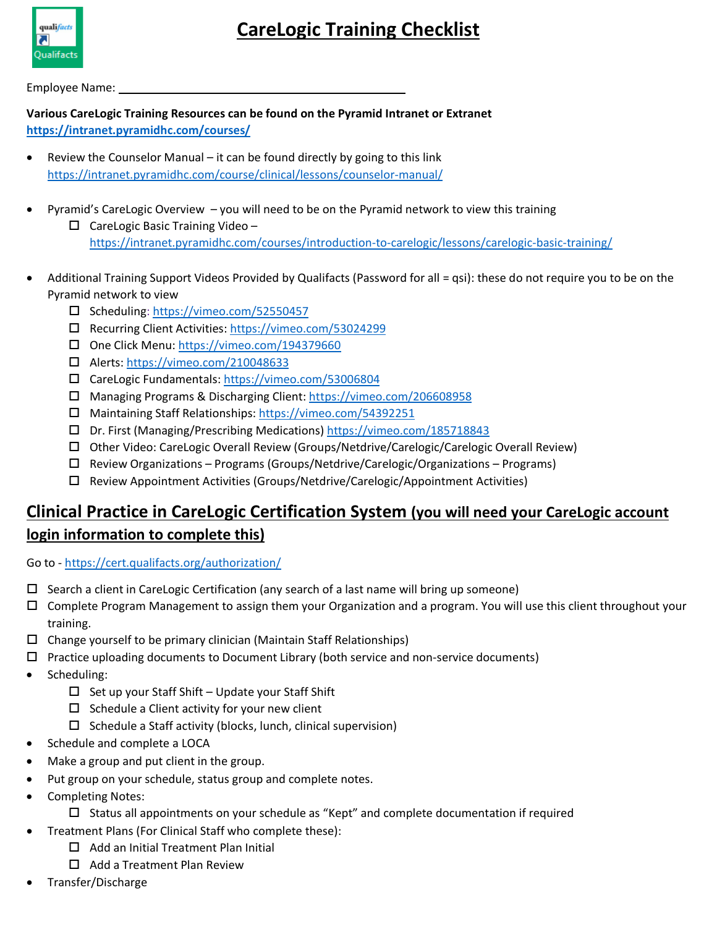

## **CareLogic Training Checklist**

Employee Name:

**Various CareLogic Training Resources can be found on the Pyramid Intranet or Extranet <https://intranet.pyramidhc.com/courses/>**

- Review the Counselor Manual it can be found directly by going to this link <https://intranet.pyramidhc.com/course/clinical/lessons/counselor-manual/>
- Pyramid's CareLogic Overview you will need to be on the Pyramid network to view this training  $\Box$  CareLogic Basic Training Video – <https://intranet.pyramidhc.com/courses/introduction-to-carelogic/lessons/carelogic-basic-training/>
- Additional Training Support Videos Provided by Qualifacts (Password for all = qsi): these do not require you to be on the Pyramid network to view
	- □ Scheduling[: https://vimeo.com/52550457](https://vimeo.com/52550457)
	- Recurring Client Activities[: https://vimeo.com/53024299](https://vimeo.com/53024299)
	- One Click Menu:<https://vimeo.com/194379660>
	- Alerts:<https://vimeo.com/210048633>
	- CareLogic Fundamentals: <https://vimeo.com/53006804>
	- Managing Programs & Discharging Client: <https://vimeo.com/206608958>
	- Maintaining Staff Relationships: <https://vimeo.com/54392251>
	- Dr. First (Managing/Prescribing Medications)<https://vimeo.com/185718843>
	- Other Video: CareLogic Overall Review (Groups/Netdrive/Carelogic/Carelogic Overall Review)
	- $\Box$  Review Organizations Programs (Groups/Netdrive/Carelogic/Organizations Programs)
	- $\square$  Review Appointment Activities (Groups/Netdrive/Carelogic/Appointment Activities)

## **Clinical Practice in CareLogic Certification System (you will need your CareLogic account login information to complete this)**

Go to - <https://cert.qualifacts.org/authorization/>

- $\Box$  Search a client in CareLogic Certification (any search of a last name will bring up someone)
- Complete Program Management to assign them your Organization and a program. You will use this client throughout your training.
- $\Box$  Change yourself to be primary clinician (Maintain Staff Relationships)
- $\Box$  Practice uploading documents to Document Library (both service and non-service documents)
- Scheduling:
	- $\Box$  Set up your Staff Shift Update your Staff Shift
	- $\square$  Schedule a Client activity for your new client
	- $\square$  Schedule a Staff activity (blocks, lunch, clinical supervision)
- Schedule and complete a LOCA
- Make a group and put client in the group.
- Put group on your schedule, status group and complete notes.
- Completing Notes:
	- $\square$  Status all appointments on your schedule as "Kept" and complete documentation if required
	- Treatment Plans (For Clinical Staff who complete these):
		- $\Box$  Add an Initial Treatment Plan Initial
		- $\Box$  Add a Treatment Plan Review
- Transfer/Discharge